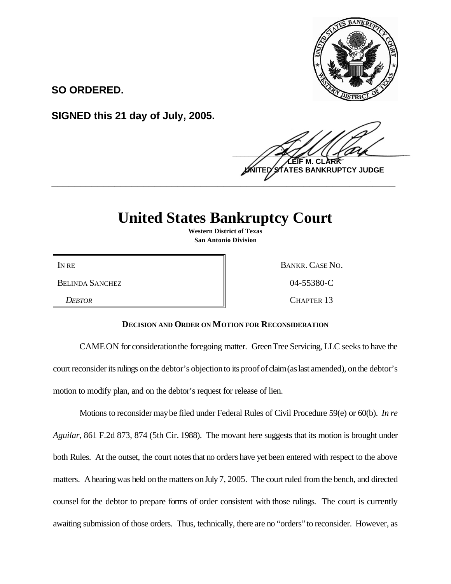

**SO ORDERED.**

**SIGNED this 21 day of July, 2005.**

 $\frac{1}{2}$ **LEIF M. CLARK ES BANKRUPTCY JUDGE \_\_\_\_\_\_\_\_\_\_\_\_\_\_\_\_\_\_\_\_\_\_\_\_\_\_\_\_\_\_\_\_\_\_\_\_\_\_\_\_\_\_\_\_\_\_\_\_\_\_\_\_\_\_\_\_\_\_\_\_**

## **United States Bankruptcy Court**

**Western District of Texas San Antonio Division**

BELINDA SANCHEZ  $04-55380-C$ 

IN RE BANKR. CASE NO.

*DEBTOR* CHAPTER 13

## **DECISION AND ORDER ON MOTION FOR RECONSIDERATION**

CAMEON for consideration the foregoing matter. Green Tree Servicing, LLC seeks to have the court reconsider its rulings on the debtor's objection to its proof of claim (as last amended), on the debtor's motion to modify plan, and on the debtor's request for release of lien.

Motions to reconsider maybe filed under Federal Rules of Civil Procedure 59(e) or 60(b). *In re Aguilar*, 861 F.2d 873, 874 (5th Cir. 1988). The movant here suggests that its motion is brought under both Rules. At the outset, the court notes that no orders have yet been entered with respect to the above matters. A hearing was held on the matters on July 7, 2005. The court ruled from the bench, and directed counsel for the debtor to prepare forms of order consistent with those rulings. The court is currently awaiting submission of those orders. Thus, technically, there are no "orders"to reconsider. However, as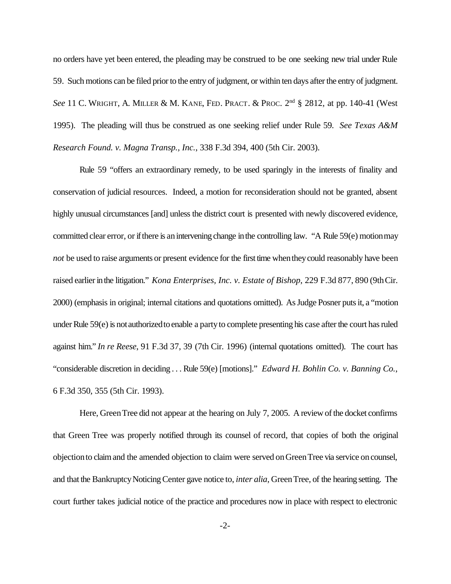no orders have yet been entered, the pleading may be construed to be one seeking new trial under Rule 59. Such motions can be filed prior to the entry of judgment, or within ten days after the entry of judgment. See 11 C. WRIGHT, A. MILLER & M. KANE, FED. PRACT. & PROC. 2<sup>nd</sup> § 2812, at pp. 140-41 (West 1995). The pleading will thus be construed as one seeking relief under Rule 59. *See Texas A&M Research Found. v. Magna Transp., Inc.*, 338 F.3d 394, 400 (5th Cir. 2003).

Rule 59 "offers an extraordinary remedy, to be used sparingly in the interests of finality and conservation of judicial resources. Indeed, a motion for reconsideration should not be granted, absent highly unusual circumstances [and] unless the district court is presented with newly discovered evidence, committed clear error, or ifthere is anintervening change inthe controlling law. "A Rule 59(e) motionmay *not* be used to raise arguments or present evidence for the first time when they could reasonably have been raised earlier in the litigation." *Kona Enterprises, Inc. v. Estate of Bishop*, 229 F.3d 877, 890 (9th Cir. 2000) (emphasis in original; internal citations and quotations omitted). As Judge Posner puts it, a "motion under Rule 59(e) is not authorized to enable a party to complete presenting his case after the court has ruled against him." *In re Reese*, 91 F.3d 37, 39 (7th Cir. 1996) (internal quotations omitted). The court has "considerable discretion in deciding . . . Rule 59(e) [motions]." *Edward H. Bohlin Co. v. Banning Co.*, 6 F.3d 350, 355 (5th Cir. 1993).

Here, Green Tree did not appear at the hearing on July 7, 2005. A review of the docket confirms that Green Tree was properly notified through its counsel of record, that copies of both the original objectionto claimand the amended objection to claim were served onGreenTree via service oncounsel, and that the Bankruptcy Noticing Center gave notice to, *inter alia*, Green Tree, of the hearing setting. The court further takes judicial notice of the practice and procedures now in place with respect to electronic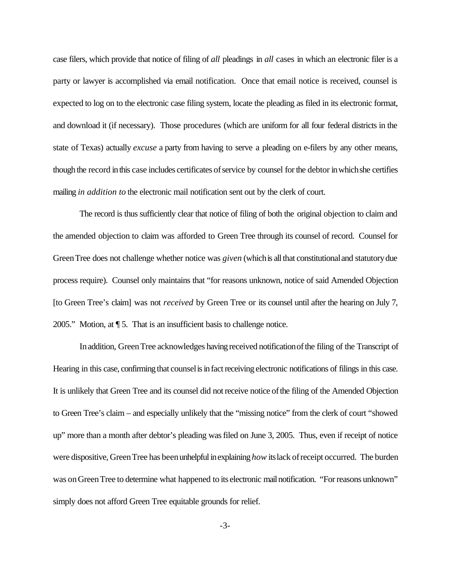case filers, which provide that notice of filing of *all* pleadings in *all* cases in which an electronic filer is a party or lawyer is accomplished via email notification. Once that email notice is received, counsel is expected to log on to the electronic case filing system, locate the pleading as filed in its electronic format, and download it (if necessary). Those procedures (which are uniform for all four federal districts in the state of Texas) actually *excuse* a party from having to serve a pleading on e-filers by any other means, though the record in this case includes certificates of service by counsel for the debtor in which she certifies mailing *in addition to* the electronic mail notification sent out by the clerk of court.

The record is thus sufficiently clear that notice of filing of both the original objection to claim and the amended objection to claim was afforded to Green Tree through its counsel of record. Counsel for Green Tree does not challenge whether notice was *given* (which is all that constitutional and statutory due process require). Counsel only maintains that "for reasons unknown, notice of said Amended Objection [to Green Tree's claim] was not *received* by Green Tree or its counsel until after the hearing on July 7, 2005." Motion, at ¶ 5. That is an insufficient basis to challenge notice.

In addition, Green Tree acknowledges having received notification of the filing of the Transcript of Hearing in this case, confirming that counsel is in fact receiving electronic notifications of filings in this case. It is unlikely that Green Tree and its counsel did notreceive notice ofthe filing of the Amended Objection to Green Tree's claim – and especially unlikely that the "missing notice" from the clerk of court "showed up" more than a month after debtor's pleading wasfiled on June 3, 2005. Thus, even if receipt of notice were dispositive, Green Tree has been unhelpful in explaining *how* its lack of receipt occurred. The burden was on Green Tree to determine what happened to its electronic mail notification. "For reasons unknown" simply does not afford Green Tree equitable grounds for relief.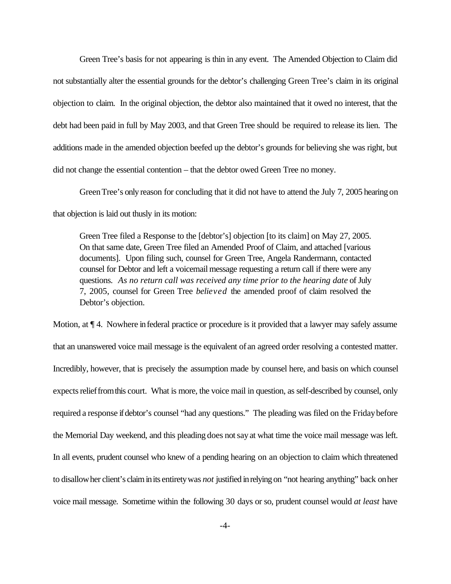Green Tree's basis for not appearing is thin in any event. The Amended Objection to Claim did not substantially alter the essential grounds for the debtor's challenging Green Tree's claim in its original objection to claim. In the original objection, the debtor also maintained that it owed no interest, that the debt had been paid in full by May 2003, and that Green Tree should be required to release its lien. The additions made in the amended objection beefed up the debtor's grounds for believing she was right, but did not change the essential contention – that the debtor owed Green Tree no money.

GreenTree's only reason for concluding that it did not have to attend the July 7, 2005 hearing on that objection is laid out thusly in its motion:

Green Tree filed a Response to the [debtor's] objection [to its claim] on May 27, 2005. On that same date, Green Tree filed an Amended Proof of Claim, and attached [various documents]. Upon filing such, counsel for Green Tree, Angela Randermann, contacted counsel for Debtor and left a voicemail message requesting a return call if there were any questions. *As no return call was received any time prior to the hearing date* of July 7, 2005, counsel for Green Tree *believed* the amended proof of claim resolved the Debtor's objection.

Motion, at  $\P$  4. Nowhere in federal practice or procedure is it provided that a lawyer may safely assume that an unanswered voice mail message is the equivalent of an agreed order resolving a contested matter. Incredibly, however, that is precisely the assumption made by counsel here, and basis on which counsel expects relief from this court. What is more, the voice mail in question, as self-described by counsel, only required a response if debtor's counsel "had any questions." The pleading was filed on the Friday before the Memorial Day weekend, and this pleading does notsayat what time the voice mail message was left. In all events, prudent counsel who knew of a pending hearing on an objection to claim which threatened to disallowher client's claiminits entiretywas *not* justified inrelying on "not hearing anything" back onher voice mail message. Sometime within the following 30 days or so, prudent counsel would *at least* have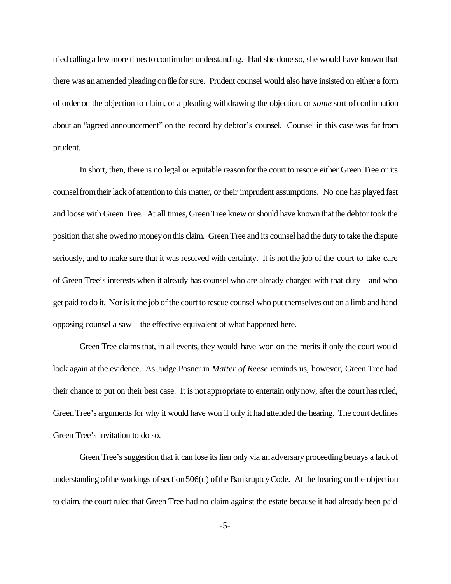tried calling a fewmore timesto confirmher understanding. Had she done so, she would have known that there was an amended pleading on file for sure. Prudent counsel would also have insisted on either a form of order on the objection to claim, or a pleading withdrawing the objection, or *some* sort of confirmation about an "agreed announcement" on the record by debtor's counsel. Counsel in this case was far from prudent.

In short, then, there is no legal or equitable reason for the court to rescue either Green Tree or its counselfromtheir lack of attentionto this matter, or their imprudent assumptions. No one has played fast and loose with Green Tree. At all times, GreenTree knew orshould have known that the debtor took the position that she owed no moneyonthis claim. Green Tree and its counsel had the duty to take the dispute seriously, and to make sure that it was resolved with certainty. It is not the job of the court to take care of Green Tree's interests when it already has counsel who are already charged with that duty – and who get paid to do it. Nor is it the job of the court to rescue counsel who put themselves out on a limb and hand opposing counsel a saw – the effective equivalent of what happened here.

Green Tree claims that, in all events, they would have won on the merits if only the court would look again at the evidence. As Judge Posner in *Matter of Reese* reminds us, however, Green Tree had their chance to put on their best case. It is not appropriate to entertain only now, afterthe court hasruled, GreenTree's arguments for why it would have won if only it had attended the hearing. The court declines Green Tree's invitation to do so.

Green Tree's suggestion that it can lose its lien only via anadversaryproceeding betrays a lack of understanding of the workings of section  $506(d)$  of the Bankruptcy Code. At the hearing on the objection to claim, the court ruled that Green Tree had no claim against the estate because it had already been paid